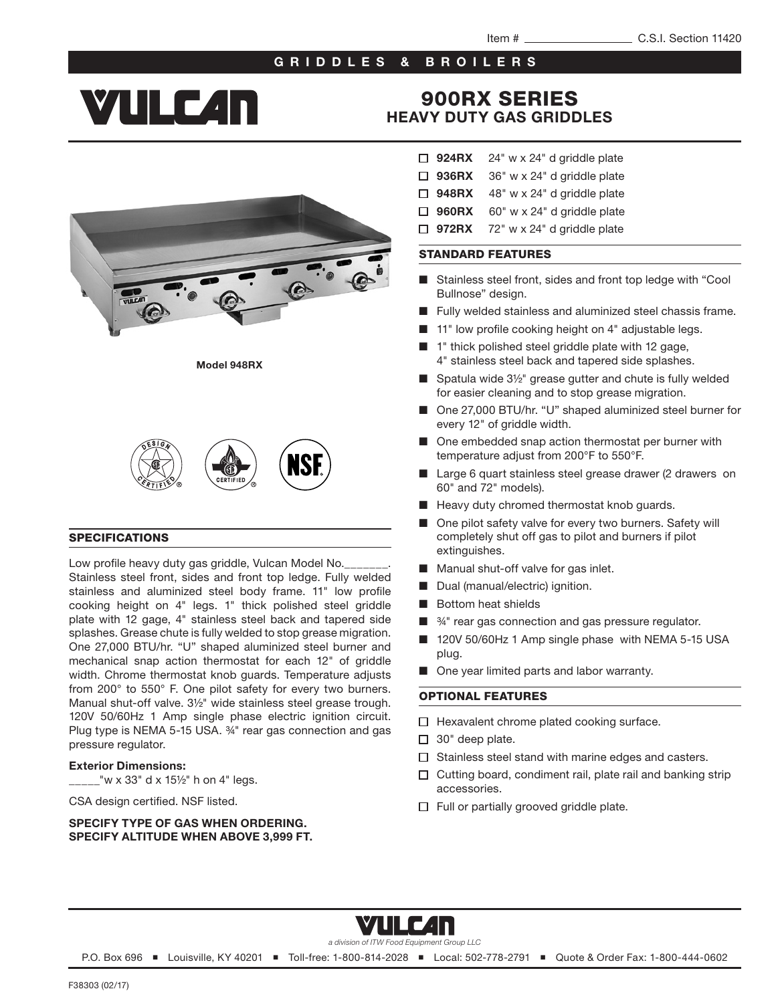## GRIDDLES & BROILERS

# **YULC4n**

## 900RX SERIES HEAVY DUTY GAS GRIDDLES

Model 948RX



#### SPECIFICATIONS

Low profile heavy duty gas griddle, Vulcan Model No. Stainless steel front, sides and front top ledge. Fully welded stainless and aluminized steel body frame. 11" low profile cooking height on 4" legs. 1" thick polished steel griddle plate with 12 gage, 4" stainless steel back and tapered side splashes. Grease chute is fully welded to stop grease migration. One 27,000 BTU/hr. "U" shaped aluminized steel burner and mechanical snap action thermostat for each 12" of griddle width. Chrome thermostat knob guards. Temperature adjusts from 200° to 550° F. One pilot safety for every two burners. Manual shut-off valve. 3½" wide stainless steel grease trough. 120V 50/60Hz 1 Amp single phase electric ignition circuit. Plug type is NEMA 5-15 USA. ¾" rear gas connection and gas pressure regulator.

#### Exterior Dimensions:

 $2^{\prime\prime}$  w x 33" d x 15½" h on 4" legs.

CSA design certified. NSF listed.

#### SPECIFY TYPE OF GAS WHEN ORDERING. SPECIFY ALTITUDE WHEN ABOVE 3,999 FT.

- $\Box$  924RX 24" w x 24" d griddle plate
- $\Box$  936RX 36" w x 24" d griddle plate
- $\Box$  948RX 48" w x 24" d griddle plate
- $\Box$  960RX 60" w x 24" d griddle plate
- $\Box$  972RX 72" w x 24" d griddle plate

#### STANDARD FEATURES

- Stainless steel front, sides and front top ledge with "Cool Bullnose" design.
- Fully welded stainless and aluminized steel chassis frame.
- 11" low profile cooking height on 4" adjustable legs.
- 1" thick polished steel griddle plate with 12 gage, 4" stainless steel back and tapered side splashes.
- Spatula wide 3½" grease gutter and chute is fully welded for easier cleaning and to stop grease migration.
- One 27,000 BTU/hr. "U" shaped aluminized steel burner for every 12" of griddle width.
- One embedded snap action thermostat per burner with temperature adjust from 200°F to 550°F.
- Large 6 quart stainless steel grease drawer (2 drawers on 60" and 72" models).
- Heavy duty chromed thermostat knob guards.
- One pilot safety valve for every two burners. Safety will completely shut off gas to pilot and burners if pilot extinguishes.
- Manual shut-off valve for gas inlet.
- Dual (manual/electric) ignition.
- **Bottom heat shields**
- <sup>34</sup> rear gas connection and gas pressure regulator.
- 120V 50/60Hz 1 Amp single phase with NEMA 5-15 USA plug.
- One year limited parts and labor warranty.

### OPTIONAL FEATURES

- $\Box$  Hexavalent chrome plated cooking surface.
- $\Box$  30" deep plate.
- $\Box$  Stainless steel stand with marine edges and casters.
- $\Box$  Cutting board, condiment rail, plate rail and banking strip accessories.
- $\Box$  Full or partially grooved griddle plate.